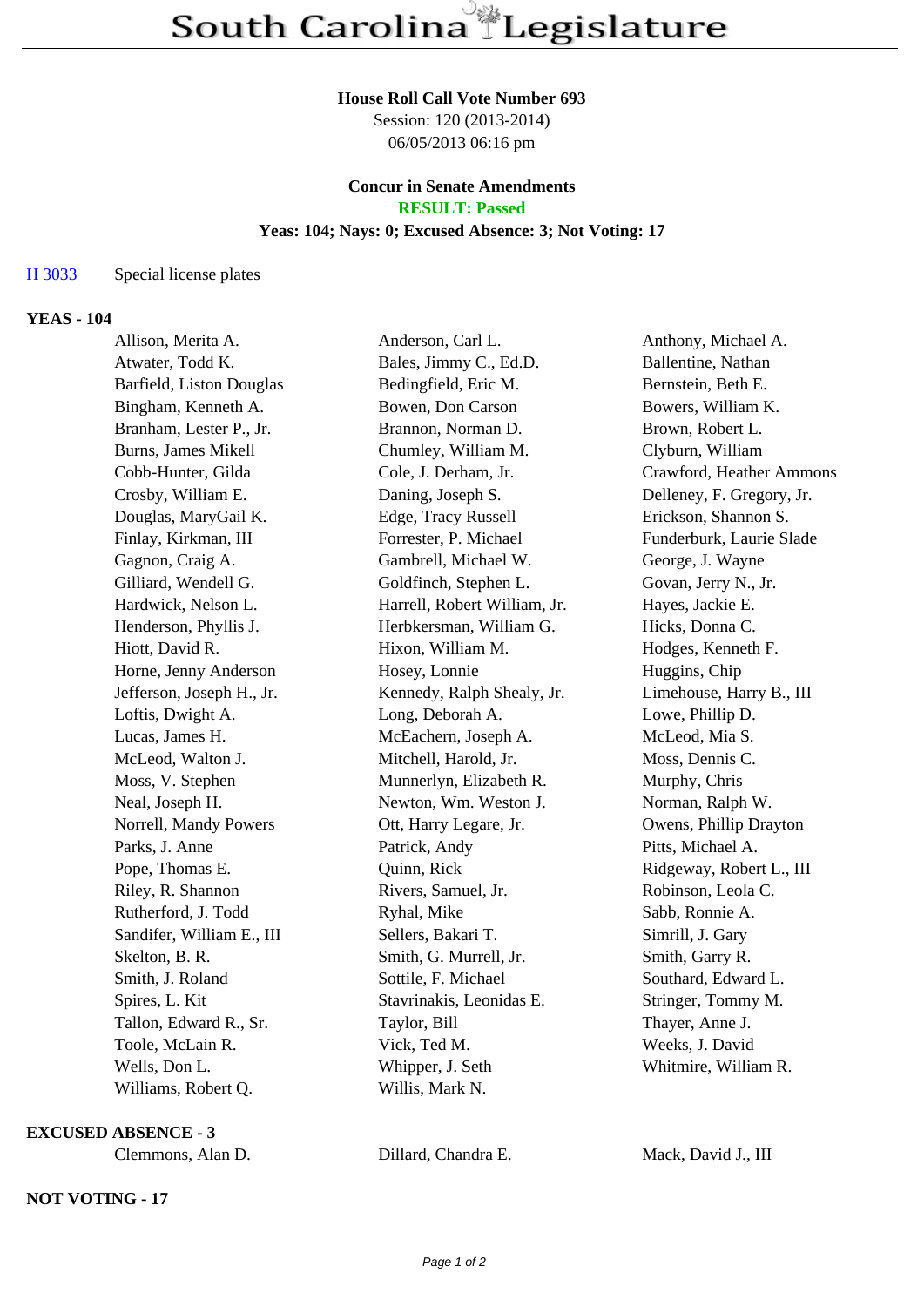#### **House Roll Call Vote Number 693**

Session: 120 (2013-2014) 06/05/2013 06:16 pm

#### **Concur in Senate Amendments RESULT: Passed**

# **Yeas: 104; Nays: 0; Excused Absence: 3; Not Voting: 17**

## H 3033 Special license plates

### **YEAS - 104**

| Allison, Merita A.         | Anderson, Carl L.            | Anthony, Michael A.       |
|----------------------------|------------------------------|---------------------------|
| Atwater, Todd K.           | Bales, Jimmy C., Ed.D.       | Ballentine, Nathan        |
| Barfield, Liston Douglas   | Bedingfield, Eric M.         | Bernstein, Beth E.        |
| Bingham, Kenneth A.        | Bowen, Don Carson            | Bowers, William K.        |
| Branham, Lester P., Jr.    | Brannon, Norman D.           | Brown, Robert L.          |
| <b>Burns, James Mikell</b> | Chumley, William M.          | Clyburn, William          |
| Cobb-Hunter, Gilda         | Cole, J. Derham, Jr.         | Crawford, Heather Ammons  |
| Crosby, William E.         | Daning, Joseph S.            | Delleney, F. Gregory, Jr. |
| Douglas, MaryGail K.       | Edge, Tracy Russell          | Erickson, Shannon S.      |
| Finlay, Kirkman, III       | Forrester, P. Michael        | Funderburk, Laurie Slade  |
| Gagnon, Craig A.           | Gambrell, Michael W.         | George, J. Wayne          |
| Gilliard, Wendell G.       | Goldfinch, Stephen L.        | Govan, Jerry N., Jr.      |
| Hardwick, Nelson L.        | Harrell, Robert William, Jr. | Hayes, Jackie E.          |
| Henderson, Phyllis J.      | Herbkersman, William G.      | Hicks, Donna C.           |
| Hiott, David R.            | Hixon, William M.            | Hodges, Kenneth F.        |
| Horne, Jenny Anderson      | Hosey, Lonnie                | Huggins, Chip             |
| Jefferson, Joseph H., Jr.  | Kennedy, Ralph Shealy, Jr.   | Limehouse, Harry B., III  |
| Loftis, Dwight A.          | Long, Deborah A.             | Lowe, Phillip D.          |
| Lucas, James H.            | McEachern, Joseph A.         | McLeod, Mia S.            |
| McLeod, Walton J.          | Mitchell, Harold, Jr.        | Moss, Dennis C.           |
| Moss, V. Stephen           | Munnerlyn, Elizabeth R.      | Murphy, Chris             |
| Neal, Joseph H.            | Newton, Wm. Weston J.        | Norman, Ralph W.          |
| Norrell, Mandy Powers      | Ott, Harry Legare, Jr.       | Owens, Phillip Drayton    |
| Parks, J. Anne             | Patrick, Andy                | Pitts, Michael A.         |
| Pope, Thomas E.            | Quinn, Rick                  | Ridgeway, Robert L., III  |
| Riley, R. Shannon          | Rivers, Samuel, Jr.          | Robinson, Leola C.        |
| Rutherford, J. Todd        | Ryhal, Mike                  | Sabb, Ronnie A.           |
| Sandifer, William E., III  | Sellers, Bakari T.           | Simrill, J. Gary          |
| Skelton, B. R.             | Smith, G. Murrell, Jr.       | Smith, Garry R.           |
| Smith, J. Roland           | Sottile, F. Michael          | Southard, Edward L.       |
| Spires, L. Kit             | Stavrinakis, Leonidas E.     | Stringer, Tommy M.        |
| Tallon, Edward R., Sr.     | Taylor, Bill                 | Thayer, Anne J.           |
| Toole, McLain R.           | Vick, Ted M.                 | Weeks, J. David           |
| Wells, Don L.              | Whipper, J. Seth             | Whitmire, William R.      |
| Williams, Robert Q.        | Willis, Mark N.              |                           |

**EXCUSED ABSENCE - 3**

## **NOT VOTING - 17**

Clemmons, Alan D. Dillard, Chandra E. Mack, David J., III